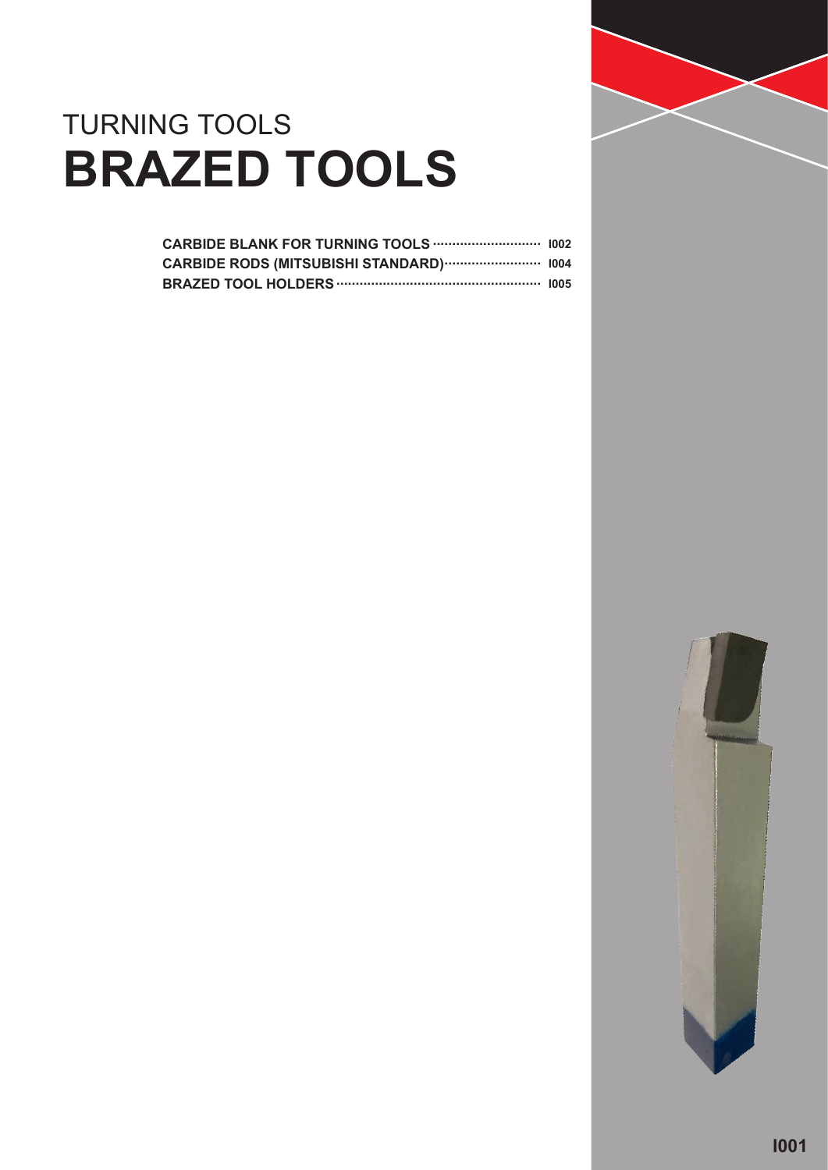

### TURNING TOOLS **BRAZED TOOLS**

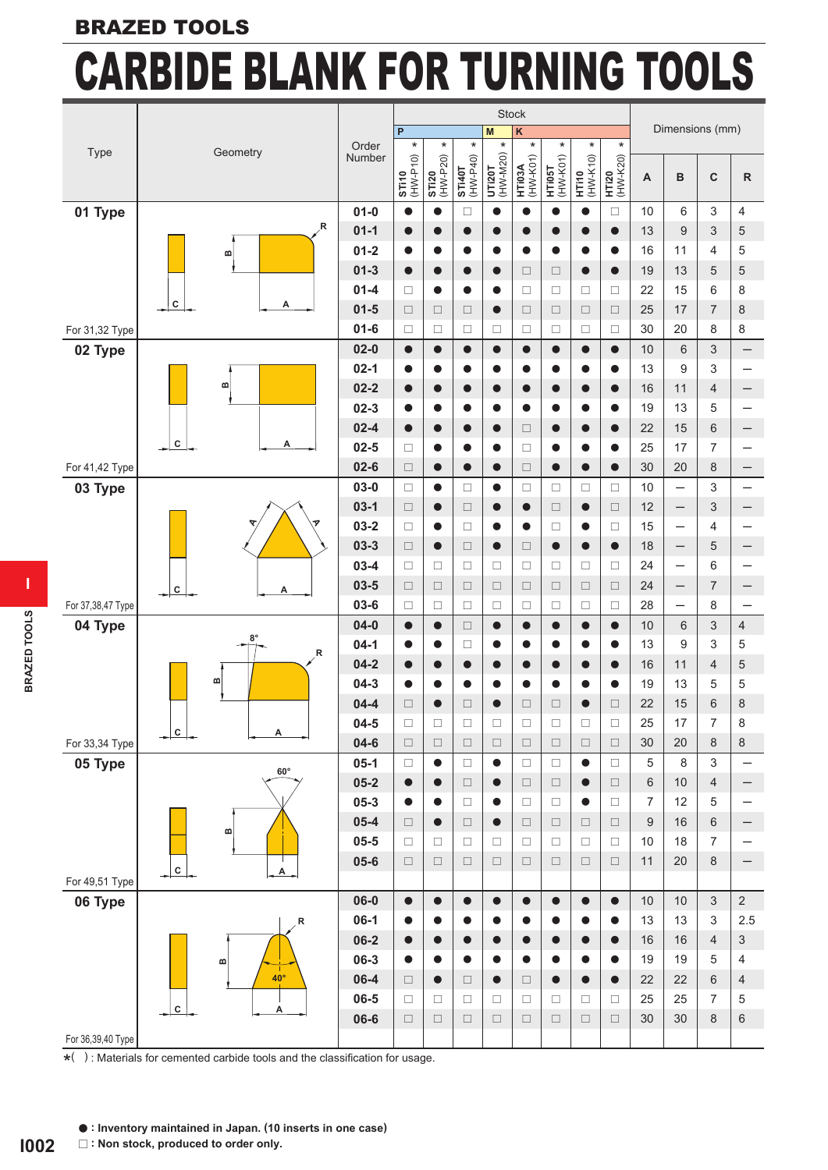#### **BRAZED TOOLS**

# **CARBIDE BLANK FOR TURNING TOOLS**

|                   |                                           |                      |                     |                          |                                                                       | Stock                                                                                 |                    |                        |                          |                          |                 |                          |                                  |                          |
|-------------------|-------------------------------------------|----------------------|---------------------|--------------------------|-----------------------------------------------------------------------|---------------------------------------------------------------------------------------|--------------------|------------------------|--------------------------|--------------------------|-----------------|--------------------------|----------------------------------|--------------------------|
|                   |                                           |                      | P                   |                          |                                                                       | M                                                                                     | $\kappa$           |                        |                          |                          |                 | Dimensions (mm)          |                                  |                          |
| Type              | Geometry                                  | Order<br>Number      | $\star$             | $\star$                  | $\star$                                                               |                                                                                       | $\star$            | $\ast$                 | $\star$                  | $\star$                  |                 |                          |                                  |                          |
|                   |                                           |                      | ST110<br>(HW-P10)   | <b>STI20</b><br>(HW-P20) | $\begin{array}{c}\n\textbf{STI40T} \\ \textbf{(HW-P40)}\n\end{array}$ | $\begin{array}{c} \text{UT}120 \text{ } \text{T} \\ \text{(HW-M20)} \ast \end{array}$ | HTI03A<br>(HW-K01) | HTI05T<br>(HW-K01)     | <b>HT110</b><br>(HW-K10) | <b>HT120</b><br>(HW-K20) | A               | B                        | $\mathbf C$                      | ${\sf R}$                |
| 01 Type           |                                           | $01 - 0$             | $\bullet$           | $\bullet$                | $\Box$                                                                | $\bullet$                                                                             | $\bullet$          | $\bullet$              | $\bullet$                | $\Box$                   | 10              | 6                        | 3                                | $\overline{\mathcal{A}}$ |
|                   | R                                         | $01 - 1$             | $\bullet$           | $\bullet$                | $\bullet$                                                             | $\bullet$                                                                             | $\bullet$          | $\bullet$              |                          | $\bullet$                | 13              | 9                        | 3                                | 5                        |
|                   | m                                         | $01 - 2$             | $\bullet$           | $\bullet$                | 0                                                                     | $\bullet$                                                                             | $\bullet$          | $\bullet$              | 0                        | $\bullet$                | 16              | 11                       | 4                                | 5                        |
|                   |                                           | $01 - 3$             | $\bullet$           | $\bullet$                | $\bullet$                                                             | $\bullet$                                                                             | $\Box$             | $\Box$                 | $\bullet$                | $\bullet$                | 19              | 13                       | 5                                | 5                        |
|                   |                                           | $01 - 4$             | $\Box$              | $\bullet$                | $\bullet$                                                             | $\bullet$                                                                             | □                  | $\Box$                 | □                        | $\Box$                   | 22              | 15                       | $\,6\,$                          | 8                        |
|                   | ${\bf c}$<br>Α                            | $01 - 5$             | $\Box$              | $\Box$                   | $\Box$                                                                | $\bullet$                                                                             | $\Box$             | $\Box$                 | $\Box$                   | $\Box$                   | 25              | 17                       | $\overline{7}$                   | 8                        |
| For 31,32 Type    |                                           | $01 - 6$             | $\Box$              | $\Box$                   | □                                                                     | $\Box$                                                                                | □                  | $\Box$                 | $\Box$                   | $\Box$                   | 30              | 20                       | 8                                | 8                        |
| 02 Type           |                                           | $02 - 0$             | $\bullet$           | $\bullet$                | $\bullet$                                                             | $\bullet$                                                                             | $\bullet$          | $\bullet$              | $\bullet$                | $\bullet$                | $10$            | 6                        | 3                                |                          |
|                   | m                                         | $02 - 1$             | $\bullet$           | $\bullet$                | $\bullet$                                                             | $\bullet$                                                                             | $\bullet$          | $\bullet$              | $\bullet$                | $\bullet$                | 13              | 9                        | 3                                |                          |
|                   |                                           | $02 - 2$             | $\bullet$           | $\bullet$                | $\bullet$                                                             | $\bullet$                                                                             | ●                  | $\bullet$              |                          |                          | 16              | 11                       | 4                                |                          |
|                   |                                           | $02 - 3$<br>$02 - 4$ | $\bullet$           | $\bullet$                | $\bullet$                                                             | $\bullet$                                                                             | $\bullet$          | $\bullet$              | $\bullet$                | $\bullet$<br>$\bullet$   | 19              | 13                       | 5                                |                          |
|                   | ${\bf c}$<br>А                            | $02 - 5$             | $\bullet$<br>$\Box$ | $\bullet$<br>$\bullet$   | $\bullet$<br>0                                                        | $\bullet$<br>$\bullet$                                                                | $\Box$<br>$\Box$   | $\bullet$<br>$\bullet$ | $\bullet$<br>0           | $\bullet$                | 22<br>25        | 15<br>17                 | $6\phantom{1}$<br>$\overline{7}$ |                          |
| For 41,42 Type    |                                           | $02 - 6$             | $\Box$              | $\bullet$                | $\bullet$                                                             | $\bullet$                                                                             | $\Box$             | $\bullet$              | $\bullet$                | $\bullet$                | 30              | 20                       | 8                                | $\qquad \qquad -$        |
| 03 Type           |                                           | $03 - 0$             | $\Box$              | $\bullet$                | $\Box$                                                                | $\bullet$                                                                             | □                  | $\Box$                 | □                        | $\Box$                   | 10              | —                        | 3                                |                          |
|                   |                                           | $03-1$               | $\Box$              | $\bullet$                | $\Box$                                                                | $\bullet$                                                                             | $\bullet$          | $\Box$                 | $\bullet$                | $\Box$                   | 12              | $\overline{\phantom{m}}$ | 3                                |                          |
|                   |                                           | $03 - 2$             | $\Box$              | $\bullet$                | $\Box$                                                                | $\bullet$                                                                             | $\bullet$          | $\Box$                 | $\bullet$                | $\Box$                   | 15              | $\qquad \qquad -$        | 4                                |                          |
|                   |                                           | $03-3$               | $\Box$              | $\bullet$                | $\Box$                                                                | $\bullet$                                                                             | $\Box$             | $\bullet$              |                          |                          | 18              | $\qquad \qquad -$        | 5                                |                          |
|                   |                                           | $03-4$               | $\Box$              | □                        | □                                                                     | $\Box$                                                                                | □                  | □                      | □                        | □                        | 24              | $\overline{\phantom{m}}$ | 6                                |                          |
|                   | $\overline{c}$<br>Α                       | $03 - 5$             | $\Box$              | $\Box$                   | $\Box$                                                                | $\Box$                                                                                | $\Box$             | $\Box$                 | $\Box$                   | $\Box$                   | 24              |                          | 7                                |                          |
| For 37,38,47 Type |                                           | $03 - 6$             | $\Box$              | $\Box$                   | $\Box$                                                                | $\Box$                                                                                | $\Box$             | $\Box$                 | $\Box$                   | $\Box$                   | 28              | $\overline{\phantom{0}}$ | 8                                |                          |
| 04 Type           | $8^{\circ}$                               | $04 - 0$             | $\bullet$           | $\bullet$                | $\Box$                                                                | $\bullet$                                                                             | $\bullet$          | $\bullet$              | $\bullet$                | $\bullet$                | 10              | $\,6$                    | 3                                | $\sqrt{4}$               |
|                   | R                                         | $04-1$               | $\bullet$           | $\bullet$                | □                                                                     | $\bullet$                                                                             | $\bullet$          | $\bullet$              | 0                        | $\bullet$                | 13              | 9                        | 3                                | 5                        |
|                   |                                           | $04 - 2$             | $\bullet$           | $\bullet$                | $\bullet$                                                             | $\bullet$                                                                             | $\bullet$          | $\bullet$              | $\bullet$                | $\bullet$                | 16              | 11                       | 4                                | 5                        |
|                   | m                                         | $04 - 3$             | $\bullet$           | $\bullet$                | $\bullet$                                                             | $\bullet$                                                                             | $\bullet$          | $\bullet$              | $\bullet$                | $\bullet$                | 19              | 13                       | 5                                | 5                        |
|                   |                                           | $04 - 4$             | $\Box$              | $\bullet$                | $\Box$                                                                | $\bullet$                                                                             | $\Box$             | $\Box$                 |                          | $\Box$                   | 22              | 15                       | 6                                | 8                        |
| For 33,34 Type    | c <br>$\overline{\mathsf{A}}$             | $04 - 5$<br>$04 - 6$ | $\Box$<br>$\Box$    | $\Box$<br>$\Box$         | $\Box$<br>$\Box$                                                      | $\Box$<br>$\Box$                                                                      | $\Box$<br>$\Box$   | $\Box$<br>$\Box$       | $\Box$<br>$\Box$         | □<br>$\Box$              | 25<br>30        | 17<br>20                 | $\overline{7}$<br>8              | 8<br>$\,8\,$             |
| 05 Type           |                                           | $05-1$               | $\Box$              | $\bullet$                | $\Box$                                                                | $\bullet$                                                                             | $\Box$             | $\Box$                 | $\bullet$                | $\Box$                   | 5               | 8                        | 3                                |                          |
|                   | $60^\circ$                                | $05 - 2$             | $\bullet$           | $\bullet$                | $\Box$                                                                | $\bullet$                                                                             | $\Box$             | $\Box$                 | $\bullet$                | $\Box$                   | $6\phantom{1}6$ | 10                       | 4                                |                          |
|                   |                                           | $05 - 3$             | $\bullet$           | $\bullet$                | $\Box$                                                                | $\bullet$                                                                             | $\Box$             | $\Box$                 | $\bullet$                | $\Box$                   | $\overline{7}$  | 12                       | $\mathbf 5$                      |                          |
|                   |                                           | $05 - 4$             | $\Box$              | $\bullet$                | $\Box$                                                                | $\bullet$                                                                             | $\Box$             | $\Box$                 | $\Box$                   | $\Box$                   | 9               | 16                       | 6                                |                          |
|                   | m                                         | $05 - 5$             | $\Box$              | □                        | $\Box$                                                                | $\Box$                                                                                | $\Box$             | $\Box$                 | $\Box$                   | $\Box$                   | 10              | 18                       | $\overline{7}$                   |                          |
|                   | $\overline{c}$<br>$\overline{\mathsf{A}}$ | $05 - 6$             | $\Box$              | $\Box$                   | $\Box$                                                                | $\Box$                                                                                | $\Box$             | $\Box$                 | $\Box$                   | $\Box$                   | 11              | 20                       | 8                                |                          |
| For 49,51 Type    |                                           |                      |                     |                          |                                                                       |                                                                                       |                    |                        |                          |                          |                 |                          |                                  |                          |
| 06 Type           |                                           | $06 - 0$             | $\bullet$           | $\bullet$                | $\bullet$                                                             | $\bullet$                                                                             | $\bullet$          | $\bullet$              | $\bullet$                | $\bullet$                | 10              | 10                       | $\mathfrak{Z}$                   | $\sqrt{2}$               |
|                   | R                                         | $06-1$               | $\bullet$           | $\bullet$                | 0                                                                     | $\bullet$                                                                             | $\bullet$          | $\bullet$              |                          | $\bullet$                | 13              | 13                       | 3                                | 2.5                      |
|                   |                                           | $06 - 2$             | $\bullet$           | $\bullet$                | $\bullet$                                                             | $\bullet$                                                                             | $\bullet$          | $\bullet$              | $\bullet$                | $\bullet$                | 16              | 16                       | 4                                | 3                        |
|                   | m                                         | 06-3                 | $\bullet$           | $\bullet$                | $\bullet$                                                             | $\bullet$                                                                             | $\bullet$          | $\bullet$              | $\bullet$                | $\bullet$                | 19              | 19                       | 5                                | 4                        |
|                   | $40^{\circ}$                              | $06 - 4$             | $\Box$              | $\bullet$                | $\Box$                                                                | $\bullet$                                                                             | $\Box$             | $\bullet$              |                          | $\bullet$                | 22              | 22                       | $\,6$                            | $\overline{a}$           |
|                   | $\mathbf{c}$<br>А                         | 06-5<br>06-6         | $\Box$<br>$\Box$    | $\Box$                   | $\Box$                                                                | $\Box$                                                                                | $\Box$             | $\Box$                 | $\Box$<br>$\Box$         | $\Box$<br>$\Box$         | 25<br>30        | 25<br>30                 | $\overline{7}$<br>8              | 5<br>$\,6$               |
| For 36,39,40 Type |                                           |                      |                     | $\Box$                   | $\Box$                                                                | $\Box$                                                                                | $\Box$             | $\Box$                 |                          |                          |                 |                          |                                  |                          |
|                   |                                           |                      |                     |                          |                                                                       |                                                                                       |                    |                        |                          |                          |                 |                          |                                  |                          |

 $\star$ ( ): Materials for cemented carbide tools and the classification for usage.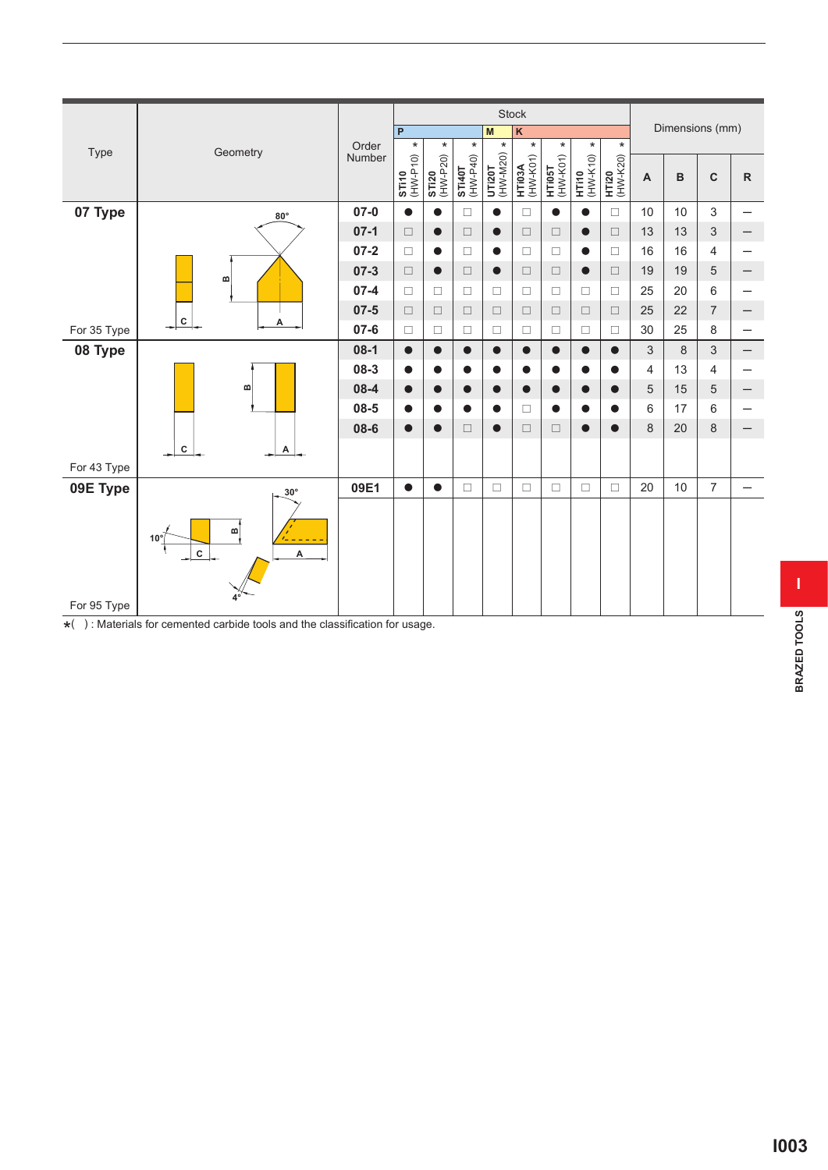|             |                                |            |                 |                          |                   |                                                                               |                           | Stock              |                    |                          |                          |                |                  |                |              |
|-------------|--------------------------------|------------|-----------------|--------------------------|-------------------|-------------------------------------------------------------------------------|---------------------------|--------------------|--------------------|--------------------------|--------------------------|----------------|------------------|----------------|--------------|
|             |                                |            |                 | $\overline{P}$           |                   |                                                                               | M                         | $\kappa$           |                    |                          |                          |                | Dimensions (mm)  |                |              |
| Type        | Geometry                       |            | Order<br>Number | $^\star$                 | $\star$           | $\star$                                                                       | $\star$                   | $\star$            | $^\star$           | $\star$                  | $\star$                  |                |                  |                |              |
|             |                                |            |                 | <b>ST110</b><br>(HW-P10) | ST120<br>(HW-P20) | $\begin{array}{c} \textbf{ST} \textbf{140T} \\ \textbf{(HW-P40)} \end{array}$ | <b>UTI20T</b><br>(HW-M20) | HTI03A<br>(HW-K01) | HTI05T<br>(HW-K01) | <b>HTi10</b><br>(HW-K10) | <b>HT120</b><br>(HW-K20) | $\overline{A}$ | $\, {\bf B}$     | $\mathbf C$    | $\mathsf{R}$ |
|             |                                |            |                 |                          |                   |                                                                               |                           |                    |                    |                          |                          |                |                  |                |              |
| 07 Type     |                                | $80^\circ$ | $07 - 0$        | $\bullet$                | $\bullet$         | $\Box$                                                                        | $\bullet$                 | $\Box$             | $\bullet$          | $\bullet$                | $\Box$                   | 10             | 10               | 3              |              |
|             |                                |            | $07-1$          | $\Box$                   | $\bullet$         | $\Box$                                                                        | $\bullet$                 | $\Box$             | $\Box$             | $\bullet$                | $\Box$                   | 13             | 13               | 3              |              |
|             |                                |            | $07 - 2$        | $\Box$                   | $\bullet$         | $\Box$                                                                        | $\bullet$                 | $\Box$             | $\Box$             | 0                        | $\Box$                   | 16             | 16               | $\overline{4}$ |              |
|             | m                              |            | $07 - 3$        | $\Box$                   | $\bullet$         | $\Box$                                                                        | $\bullet$                 | $\Box$             | $\Box$             | $\bullet$                | $\Box$                   | 19             | 19               | 5              |              |
|             |                                |            | $07 - 4$        | $\Box$                   | $\Box$            | $\Box$                                                                        | $\Box$                    | $\Box$             | $\Box$             | $\Box$                   | $\Box$                   | 25             | 20               | $\,6$          |              |
|             |                                |            | $07 - 5$        | $\Box$                   | $\Box$            | $\Box$                                                                        | $\Box$                    | $\Box$             | $\Box$             | $\Box$                   | $\Box$                   | 25             | 22               | $\overline{7}$ |              |
| For 35 Type | ${\bf c}$                      | А          | $07 - 6$        | $\Box$                   | $\Box$            | $\Box$                                                                        | $\Box$                    | □                  | $\Box$             | $\Box$                   | $\Box$                   | 30             | 25               | 8              |              |
| 08 Type     |                                |            | $08-1$          | $\bullet$                | $\bullet$         | $\bullet$                                                                     | $\bullet$                 | $\bullet$          | $\bullet$          | $\bullet$                | $\bullet$                | $\sqrt{3}$     | $\boldsymbol{8}$ | $\sqrt{3}$     | —            |
|             |                                |            | $08 - 3$        | $\bullet$                | $\bullet$         | $\bullet$                                                                     | $\bullet$                 | $\bullet$          |                    | O                        | $\bullet$                | 4              | 13               | $\overline{4}$ |              |
|             |                                | m          | $08 - 4$        | $\bullet$                | $\bullet$         | $\bullet$                                                                     | $\bullet$                 | $\bullet$          |                    |                          | $\bullet$                | 5              | 15               | $\sqrt{5}$     | —            |
|             |                                |            | $08 - 5$        | $\bullet$                | O                 | $\bullet$                                                                     | $\bullet$                 | □                  | 0                  |                          |                          | 6              | 17               | 6              |              |
|             |                                |            | $08 - 6$        | $\bullet$                | $\bullet$         | $\Box$                                                                        | $\bullet$                 | $\Box$             | $\Box$             | $\bullet$                | $\bullet$                | $\,8\,$        | 20               | 8              |              |
|             | $\mathbf c$                    | А          |                 |                          |                   |                                                                               |                           |                    |                    |                          |                          |                |                  |                |              |
| For 43 Type |                                |            |                 |                          |                   |                                                                               |                           |                    |                    |                          |                          |                |                  |                |              |
| 09E Type    |                                | $30^\circ$ | 09E1            | $\bullet$                | $\bullet$         | $\Box$                                                                        | $\Box$                    | $\Box$             | $\Box$             | $\Box$                   | $\Box$                   | 20             | 10               | $\overline{7}$ |              |
|             |                                |            |                 |                          |                   |                                                                               |                           |                    |                    |                          |                          |                |                  |                |              |
|             | $\bf{m}$                       |            |                 |                          |                   |                                                                               |                           |                    |                    |                          |                          |                |                  |                |              |
|             | $10^{\circ}$<br>$\overline{c}$ | A          |                 |                          |                   |                                                                               |                           |                    |                    |                          |                          |                |                  |                |              |
|             |                                |            |                 |                          |                   |                                                                               |                           |                    |                    |                          |                          |                |                  |                |              |
|             |                                |            |                 |                          |                   |                                                                               |                           |                    |                    |                          |                          |                |                  |                |              |
| For 95 Type |                                |            |                 |                          |                   |                                                                               |                           |                    |                    |                          |                          |                |                  |                |              |

\* ( ) : Materials for cemented carbide tools and the classification for usage.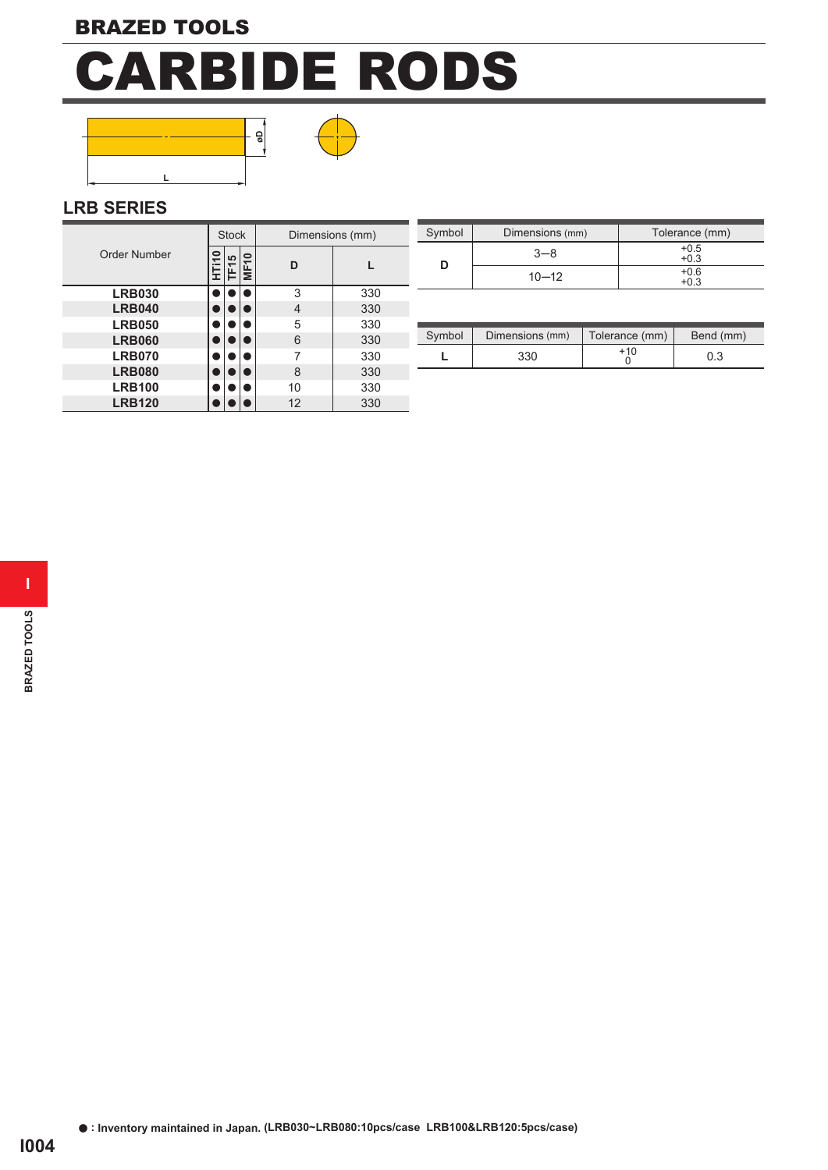



#### **LRB SERIES**

|               |            | <b>Stock</b>     |             | Dimensions (mm) |     |  |  |  |  |  |  |
|---------------|------------|------------------|-------------|-----------------|-----|--|--|--|--|--|--|
| Order Number  | $\Xi$<br>I | TF <sub>15</sub> | <b>MF10</b> | D               |     |  |  |  |  |  |  |
| <b>LRB030</b> |            |                  |             | 3               | 330 |  |  |  |  |  |  |
| <b>LRB040</b> |            |                  |             | 4               | 330 |  |  |  |  |  |  |
| <b>LRB050</b> |            |                  |             | 5               | 330 |  |  |  |  |  |  |
| <b>LRB060</b> |            |                  |             | 6               | 330 |  |  |  |  |  |  |
| <b>LRB070</b> |            |                  |             |                 | 330 |  |  |  |  |  |  |
| <b>LRB080</b> |            |                  |             | 8               | 330 |  |  |  |  |  |  |
| <b>LRB100</b> |            |                  |             | 10              | 330 |  |  |  |  |  |  |
| <b>LRB120</b> |            |                  |             | 12              | 330 |  |  |  |  |  |  |

| <b>Stock</b>   | Dimensions (mm) | Symbol | Dimensions (mm) | Tolerance (mm)   |
|----------------|-----------------|--------|-----------------|------------------|
| ≧∣ ຜ∣ <u>9</u> |                 |        | $3 - 8$         | $+0.5$<br>$+0.3$ |
| ۱u∟            |                 |        | $10 - 12$       | $+0.6$<br>$+0.3$ |

| Symbol | Dimensions (mm) | Tolerance (mm) | Bend (mm) |
|--------|-----------------|----------------|-----------|
|        | 330             | $+10$          | 0.3       |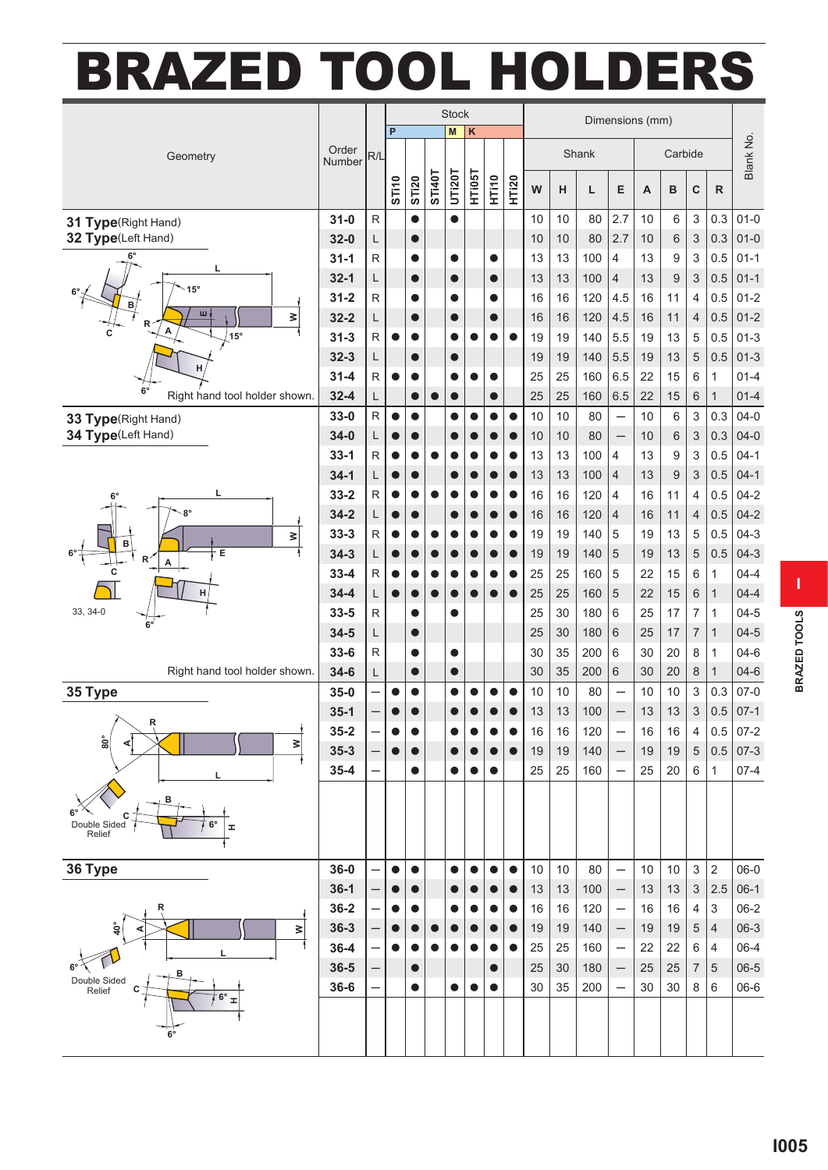### **BRAZED TOOL HOLDERS**

|                                    |                      |                         | <b>Stock</b>           |                        |           |               | Dimensions (mm) |             |              |          |          |            |                          |          |                  |                           |                              |                    |
|------------------------------------|----------------------|-------------------------|------------------------|------------------------|-----------|---------------|-----------------|-------------|--------------|----------|----------|------------|--------------------------|----------|------------------|---------------------------|------------------------------|--------------------|
|                                    |                      |                         | P                      |                        |           | M             | K               |             |              |          |          |            |                          |          |                  |                           |                              |                    |
| Geometry                           | Order<br>Number      | R/L                     |                        |                        |           |               |                 |             |              |          |          | Shank      |                          | Carbide  |                  |                           |                              | Blank No.          |
|                                    |                      |                         | ST110                  | <b>STI20</b>           | ST140T    | <b>UT120T</b> | HTi05T          | <b>HT10</b> | <b>HTI20</b> | W        | н        | Г          | E                        | A        | B                | C                         | $\mathsf{R}$                 |                    |
|                                    |                      |                         |                        |                        |           |               |                 |             |              |          |          |            |                          |          |                  |                           |                              |                    |
| 31 Type(Right Hand)                | $31 - 0$             | $\overline{\mathsf{R}}$ |                        | $\bullet$              |           | $\bullet$     |                 |             |              | 10       | 10       | 80         | 2.7                      | 10       | 6                | $\,$ 3 $\,$               | 0.3                          | $01 - 0$           |
| 32 Type(Left Hand)                 | $32 - 0$             | L                       |                        | $\bullet$              |           |               |                 |             |              | 10       | 10       | 80         | 2.7                      | 10       | 6                | $\ensuremath{\mathsf{3}}$ | 0.3                          | $01 - 0$           |
| 6°<br>г                            | $31 - 1$             | ${\sf R}$               |                        | $\bullet$              |           | $\bullet$     |                 |             |              | 13       | 13       | 100        | 4                        | 13       | 9                | 3                         | 0.5                          | $01 - 1$           |
| $15^\circ$                         | $32 - 1$             | L                       |                        | $\bullet$              |           | $\bullet$     |                 | $\bullet$   |              | 13       | 13       | 100        | $\overline{4}$           | 13       | 9                | 3                         | 0.5                          | $01 - 1$           |
| в<br>ш                             | $31 - 2$             | ${\sf R}$               |                        | $\bullet$              |           | $\bullet$     |                 | O           |              | 16       | 16       | 120        | 4.5                      | 16       | 11               | $\overline{4}$            | 0.5                          | $01 - 2$           |
| ₿<br>R<br>A                        | $32 - 2$             | L                       |                        | $\bullet$              |           | $\bullet$     |                 |             |              | 16       | 16       | 120        | 4.5                      | 16       | 11               | $\overline{\mathcal{L}}$  | 0.5                          | $01 - 2$           |
| $15^{\circ}$                       | $31 - 3$             | ${\sf R}$               | $\bullet$              |                        |           | e             |                 |             |              | 19       | 19       | 140        | 5.5                      | 19       | 13               | 5                         | 0.5                          | $01 - 3$           |
| Н                                  | $32 - 3$             | L                       |                        | $\bullet$              |           | $\bullet$     |                 |             |              | 19       | 19       | 140        | 5.5                      | 19       | 13               | 5                         | 0.5                          | $01 - 3$           |
| $6^\circ$                          | $31 - 4$             | ${\sf R}$               | $\bullet$              | $\bullet$              |           | $\bullet$     |                 |             |              | 25       | 25       | 160        | 6.5                      | 22       | 15               | 6                         | $\mathbf{1}$                 | $01 - 4$           |
| Right hand tool holder shown.      | $32 - 4$             | L                       |                        | $\bullet$              |           |               |                 |             |              | 25       | 25       | 160        | 6.5                      | 22       | 15               | $6\phantom{1}6$           | $\mathbf{1}$                 | $01 - 4$           |
| 33 Type(Right Hand)                | $33-0$               | $\mathsf{R}$            | $\bullet$              | $\bullet$              |           | a             |                 |             | $\bullet$    | 10       | 10       | 80         | $\equiv$                 | 10       | 6                | 3                         | 0.3                          | $04 - 0$           |
| 34 Type(Left Hand)                 | $34 - 0$             | L                       | $\bullet$              | $\bullet$              |           |               |                 |             |              | 10       | 10       | 80         | $\overline{\phantom{0}}$ | 10       | 6                | 3                         | 0.3                          | $04 - 0$           |
|                                    | $33 - 1$             | $\mathsf{R}$            | $\bullet$              | $\bullet$              |           |               |                 |             |              | 13       | 13       | 100        | $\overline{4}$           | 13       | 9                | 3                         | 0.5                          | $04-1$             |
| L<br>$6^{\circ}$<br>$8^{\circ}$    | $34-1$               | L                       | $\bullet$              | $\bullet$              |           | $\bullet$     |                 |             |              | 13       | 13       | 100        | $\overline{4}$           | 13       | $\boldsymbol{9}$ | $\sqrt{3}$                | 0.5                          | $04-1$             |
|                                    | $33 - 2$             | R                       | $\bullet$              | $\bullet$              |           |               |                 |             |              | 16       | 16       | 120        | 4                        | 16       | 11               | $\overline{\mathcal{A}}$  | 0.5                          | $04 - 2$           |
|                                    | $34 - 2$             | L                       | $\bullet$              | $\bullet$              |           | $\bullet$     |                 |             |              | 16       | 16       | 120        | $\overline{4}$           | 16       | 11               | $\overline{4}$            | 0.5                          | $04 - 2$           |
| ≥<br>B                             | $33 - 3$             | ${\sf R}$               | $\bullet$              | $\bullet$              |           |               |                 |             |              | 19       | 19       | 140        | 5                        | 19       | 13               | 5                         | 0.5                          | $04-3$             |
| Е<br>Α<br>C<br>н                   | $34 - 3$<br>$33 - 4$ | L<br>$\mathsf{R}$       | $\bullet$              | $\bullet$              |           |               |                 |             |              | 19       | 19<br>25 | 140<br>160 | 5<br>5                   | 19<br>22 | 13<br>15         | 5                         | 0.5                          | $04-3$<br>$04 - 4$ |
|                                    | $34 - 4$             | L                       | $\bullet$<br>$\bullet$ | $\bullet$<br>$\bullet$ | $\bullet$ |               |                 |             | $\bullet$    | 25<br>25 | 25       | 160        | 5                        | 22       | 15               | 6<br>6                    | $\mathbf{1}$<br>$\mathbf{1}$ | $04 - 4$           |
| 33, 34-0                           | $33 - 5$             | $\mathsf{R}$            |                        | $\bullet$              |           |               |                 |             |              | 25       | 30       | 180        | 6                        | 25       | 17               | $\overline{7}$            | $\mathbf{1}$                 | $04 - 5$           |
|                                    | $34 - 5$             | L                       |                        | $\bullet$              |           |               |                 |             |              | 25       | 30       | 180        | $\,6$                    | 25       | 17               | $\overline{7}$            | $\mathbf{1}$                 | $04 - 5$           |
|                                    | $33 - 6$             | ${\sf R}$               |                        | $\bullet$              |           | $\bullet$     |                 |             |              | 30       | 35       | 200        | 6                        | 30       | 20               | 8                         | $\mathbf{1}$                 | $04 - 6$           |
| Right hand tool holder shown.      | $34 - 6$             | L                       |                        | $\bullet$              |           |               |                 |             |              | 30       | 35       | 200        | 6                        | 30       | 20               | 8                         | $\mathbf{1}$                 | $04 - 6$           |
| 35 Type                            | $35 - 0$             |                         | $\bullet$              | $\bullet$              |           | O             |                 |             |              | 10       | 10       | 80         | $\equiv$                 | 10       | 10               | 3                         | 0.3                          | $07 - 0$           |
|                                    | $35-1$               |                         | $\bullet$              |                        |           |               |                 |             |              | 13       | 13       | 100        |                          | 13       | 13               | 3                         | 0.5                          | $07-1$             |
| R<br>$\mathbf{I}$                  | $35 - 2$             |                         | $\bullet$              | $\bullet$              |           |               |                 |             |              | 16       | 16       | 120        |                          | 16       | 16               | $\overline{\mathcal{A}}$  |                              | $0.5$ 07-2         |
| $^{\circ}$<br>≥                    | $35 - 3$             |                         |                        |                        |           |               |                 |             |              | 19       | 19       | 140        | —                        | 19       | 19               | $\sqrt{5}$                |                              | $0.5$ 07-3         |
|                                    | $35 - 4$             |                         |                        | 0                      |           |               |                 |             |              | 25       | 25       | 160        | $\overline{\phantom{m}}$ | 25       | 20               | $\,6\,$                   | $\mathbf{1}$                 | $07 - 4$           |
|                                    |                      |                         |                        |                        |           |               |                 |             |              |          |          |            |                          |          |                  |                           |                              |                    |
| в                                  |                      |                         |                        |                        |           |               |                 |             |              |          |          |            |                          |          |                  |                           |                              |                    |
| Double Sided<br>Relief<br><b>I</b> |                      |                         |                        |                        |           |               |                 |             |              |          |          |            |                          |          |                  |                           |                              |                    |
|                                    |                      |                         |                        |                        |           |               |                 |             |              |          |          |            |                          |          |                  |                           |                              |                    |
| 36 Type                            | $36 - 0$             |                         | $\bullet$              | $\bullet$              |           |               |                 |             | $\bullet$    | 10       | 10       | 80         | $\qquad \qquad -$        | 10       | 10               | $\sqrt{3}$                | $\overline{2}$               | $06-0$             |
|                                    | $36-1$               |                         |                        |                        |           |               |                 |             |              | $13$     | 13       | 100        | $\qquad \qquad -$        | $13$     | 13               | $\ensuremath{\mathsf{3}}$ | 2.5                          | $06-1$             |
|                                    | $36 - 2$             |                         | 0                      |                        |           |               |                 |             |              | 16       | 16       | 120        | $\overline{\phantom{0}}$ | 16       | 16               | $\overline{4}$            | 3                            | $06 - 2$           |
| $\geq$                             | $36 - 3$             |                         | $\bullet$              | $\bullet$              |           |               |                 |             |              | 19       | 19       | 140        | —                        | 19       | 19               | $\sqrt{5}$                | 4                            | $06-3$             |
|                                    | $36 - 4$             |                         | $\bullet$              | 0                      |           |               |                 |             |              | 25       | 25       | 160        | $\overline{\phantom{0}}$ | 22       | 22               | 6                         | 4                            | $06-4$             |
| в                                  | $36 - 5$             |                         |                        | $\bullet$              |           |               |                 | $\bullet$   |              | 25       | 30       | 180        | $\qquad \qquad -$        | 25       | 25               | $\boldsymbol{7}$          | 5                            | $06 - 5$           |
| Double Sided<br>Relief             | $36 - 6$             |                         |                        | 0                      |           |               |                 |             |              | $30\,$   | 35       | 200        | $\qquad \qquad -$        | 30       | $30\,$           | 8                         | 6                            | 06-6               |
| $6^{\circ}$ $\pm$                  |                      |                         |                        |                        |           |               |                 |             |              |          |          |            |                          |          |                  |                           |                              |                    |
|                                    |                      |                         |                        |                        |           |               |                 |             |              |          |          |            |                          |          |                  |                           |                              |                    |
|                                    |                      |                         |                        |                        |           |               |                 |             |              |          |          |            |                          |          |                  |                           |                              |                    |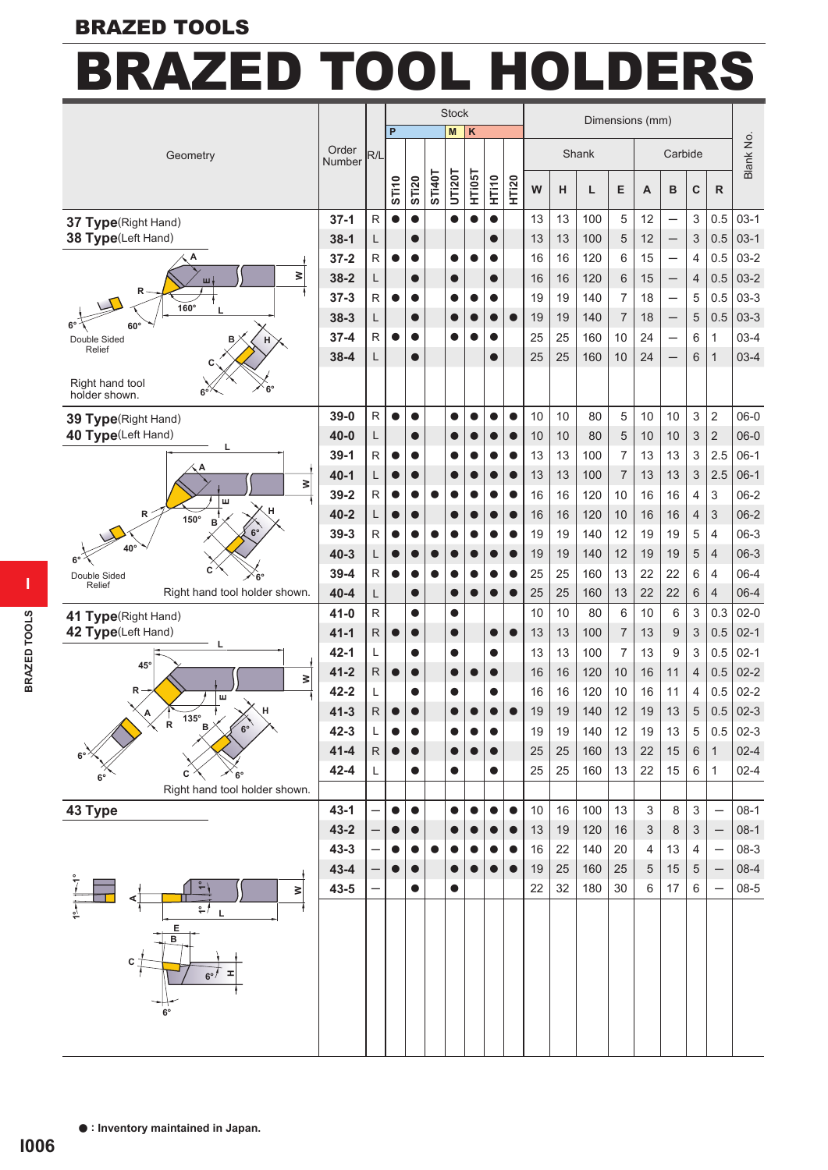#### **BRAZED TOOLS**

## **BRAZED TOOL HOLDERS**

|                                                 |                 |                          | <b>Stock</b> |                        |               |           |           |             | Dimensions (mm) |    |    |       |                |                |                                                      |                |                          |           |  |
|-------------------------------------------------|-----------------|--------------------------|--------------|------------------------|---------------|-----------|-----------|-------------|-----------------|----|----|-------|----------------|----------------|------------------------------------------------------|----------------|--------------------------|-----------|--|
|                                                 |                 |                          | P            |                        |               | M         | K         |             |                 |    |    |       |                |                |                                                      |                |                          |           |  |
| Geometry                                        | Order<br>Number | R/L                      |              |                        |               |           |           |             |                 |    |    | Shank |                |                | Carbide                                              |                |                          | Blank No. |  |
|                                                 |                 |                          | <b>STI10</b> | <b>STI20</b>           | <b>ST140T</b> | UTi20T    | HT105T    | <b>HT10</b> | <b>HTI20</b>    | W  | н  | L     | Е              | $\overline{A}$ | B                                                    | $\mathbf C$    | $\mathsf{R}$             |           |  |
|                                                 | $37-1$          | $\overline{R}$           | $\bullet$    | $\bullet$              |               | ●         |           | $\bullet$   |                 | 13 | 13 | 100   |                | 12             |                                                      |                | 0.5                      | $03-1$    |  |
| 37 Type(Right Hand)<br>38 Type(Left Hand)       | $38-1$          | L                        |              | $\bullet$              |               |           |           | $\bullet$   |                 | 13 | 13 | 100   | 5<br>5         | 12             | $\overline{\phantom{0}}$                             | 3<br>3         | 0.5                      | $03-1$    |  |
|                                                 | $37 - 2$        | ${\sf R}$                | $\bullet$    | $\bullet$              |               | ●         |           | ●           |                 | 16 | 16 | 120   | 6              | 15             | $\qquad \qquad -$<br>$\qquad \qquad -$               | 4              | 0.5                      | $03 - 2$  |  |
| ₿                                               | $38 - 2$        | L                        |              |                        |               | $\bullet$ |           | $\bullet$   |                 | 16 | 16 | 120   | 6              | 15             |                                                      | 4              | 0.5                      | $03-2$    |  |
| ш<br>R                                          | $37 - 3$        | $\mathsf{R}$             | $\bullet$    | $\bullet$<br>$\bullet$ |               | O         |           | ●           |                 | 19 | 19 | 140   | 7              | 18             | $\overline{\phantom{0}}$<br>$\overline{\phantom{0}}$ | 5              | 0.5                      | $03-3$    |  |
| 160°                                            | $38 - 3$        | L                        |              | $\bullet$              |               |           |           |             | $\bullet$       | 19 | 19 | 140   | $\overline{7}$ | 18             | $\qquad \qquad -$                                    | 5              | 0.5                      | $03-3$    |  |
| $60^\circ$                                      | $37 - 4$        | ${\sf R}$                | $\bullet$    | 0                      |               |           |           |             |                 | 25 | 25 | 160   | 10             | 24             |                                                      | 6              | $\mathbf{1}$             | $03-4$    |  |
| Double Sided<br>в<br>н<br>Relief                | $38 - 4$        | L                        |              | $\bullet$              |               |           |           | $\bullet$   |                 | 25 | 25 | 160   | 10             | 24             |                                                      | 6              | $\mathbf{1}$             | $03-4$    |  |
|                                                 |                 |                          |              |                        |               |           |           |             |                 |    |    |       |                |                |                                                      |                |                          |           |  |
| Right hand tool<br>$6^{\circ}$<br>holder shown. |                 |                          |              |                        |               |           |           |             |                 |    |    |       |                |                |                                                      |                |                          |           |  |
| 39 Type(Right Hand)                             | $39-0$          | $\mathsf{R}$             | $\bullet$    | $\bullet$              |               | $\bullet$ |           | $\bullet$   | $\bullet$       | 10 | 10 | 80    | 5              | 10             | 10                                                   | 3              | $\sqrt{2}$               | $06-0$    |  |
| 40 Type(Left Hand)                              | $40 - 0$        | L                        |              | $\bullet$              |               |           |           |             |                 | 10 | 10 | 80    | 5              | 10             | 10                                                   | 3              | $\overline{2}$           | $06-0$    |  |
| L                                               | $39-1$          | ${\sf R}$                | $\bullet$    | $\bullet$              |               |           |           |             |                 | 13 | 13 | 100   | 7              | 13             | 13                                                   | 3              | 2.5                      | $06-1$    |  |
| ≥                                               | $40 - 1$        | L                        | $\bullet$    | $\bullet$              |               |           |           |             | $\bullet$       | 13 | 13 | 100   | $\overline{7}$ | 13             | 13                                                   | $\sqrt{3}$     | 2.5                      | $06-1$    |  |
| ш                                               | $39 - 2$        | $\mathsf{R}$             | $\bullet$    | $\bullet$              |               |           |           |             |                 | 16 | 16 | 120   | 10             | 16             | 16                                                   | 4              | 3                        | $06 - 2$  |  |
| R<br>150°<br>B                                  | $40 - 2$        | L                        | $\bullet$    | $\bullet$              |               | $\bullet$ |           |             | $\bullet$       | 16 | 16 | 120   | 10             | 16             | 16                                                   | $\overline{4}$ | 3                        | $06 - 2$  |  |
|                                                 | $39-3$          | $\overline{\mathsf{R}}$  | $\bullet$    | $\bullet$              |               |           |           | 0           | $\bullet$       | 19 | 19 | 140   | 12             | 19             | 19                                                   | 5              | $\overline{4}$           | $06-3$    |  |
| 40'                                             | $40 - 3$        | L                        | $\bullet$    | $\bullet$              |               |           |           |             |                 | 19 | 19 | 140   | 12             | 19             | 19                                                   | 5              | $\overline{4}$           | $06-3$    |  |
| C<br>Double Sided                               | $39 - 4$        | $\mathsf{R}$             | $\bullet$    | $\bullet$              |               | e         |           |             | $\bullet$       | 25 | 25 | 160   | 13             | 22             | 22                                                   | 6              | 4                        | $06-4$    |  |
| Relief<br>Right hand tool holder shown.         | $40 - 4$        | L                        |              | $\bullet$              |               |           |           | $\bullet$   | $\bullet$       | 25 | 25 | 160   | 13             | 22             | 22                                                   | 6              | $\overline{4}$           | $06 - 4$  |  |
| 41 Type(Right Hand)                             | $41 - 0$        | $\mathsf{R}$             |              | $\bullet$              |               | $\bullet$ |           |             |                 | 10 | 10 | 80    | 6              | 10             | 6                                                    | $\,$ 3 $\,$    | 0.3                      | $02 - 0$  |  |
| 42 Type(Left Hand)                              | $41 - 1$        | ${\sf R}$                | $\bullet$    | $\bullet$              |               | $\bullet$ |           | $\bullet$   | $\bullet$       | 13 | 13 | 100   | $\overline{7}$ | 13             | 9                                                    | $\sqrt{3}$     | 0.5                      | $02-1$    |  |
|                                                 | $42 - 1$        | Г                        |              | $\bullet$              |               |           |           | $\bullet$   |                 | 13 | 13 | 100   | $\overline{7}$ | 13             | $9\,$                                                | 3              | 0.5                      | $02 - 1$  |  |
| $45^\circ$<br>≷                                 | $41 - 2$        | ${\sf R}$                | $\bullet$    | $\bullet$              |               |           |           | $\bullet$   |                 | 16 | 16 | 120   | 10             | 16             | 11                                                   | 4              | 0.5                      | $02 - 2$  |  |
| R<br>ш                                          | $42 - 2$        | Г                        |              | $\bullet$              |               |           |           | O           |                 | 16 | 16 | 120   | 10             | 16             | 11                                                   | 4              | 0.5                      | $02 - 2$  |  |
| А<br>$135^\circ$                                | $41 - 3$        | R                        | $\bullet$    |                        |               |           |           |             |                 | 19 | 19 | 140   | 12             | 19             | 13                                                   | 5              | 0.5                      | $02-3$    |  |
| R<br>$6^{\circ}$                                | $42 - 3$        | L                        | $\bullet$    | $\bullet$              |               | $\bullet$ |           | $\bullet$   |                 | 19 | 19 | 140   | 12             | 19             | 13                                                   | 5              | 0.5                      | $02-3$    |  |
|                                                 | $41 - 4$        | $\mathsf R$              | $\bullet$    |                        |               |           |           |             |                 | 25 | 25 | 160   | 13             | 22             | 15                                                   | $\,6\,$        | $\mathbf{1}$             | $02 - 4$  |  |
|                                                 | $42 - 4$        | L                        |              | 0                      |               |           |           | 0           |                 | 25 | 25 | 160   | 13             | 22             | 15                                                   | 6              | $\mathbf{1}$             | $02 - 4$  |  |
| Right hand tool holder shown.                   |                 |                          |              |                        |               |           |           |             |                 |    |    |       |                |                |                                                      |                |                          |           |  |
| 43 Type                                         | $43 - 1$        |                          | $\bullet$    | $\bullet$              |               | ●         | $\bullet$ | $\bullet$   | $\bullet$       | 10 | 16 | 100   | 13             | $\mathfrak{S}$ | $\,8\,$                                              | $\sqrt{3}$     | $\qquad \qquad -$        | $08-1$    |  |
|                                                 | $43 - 2$        |                          | $\bullet$    |                        |               |           |           |             |                 | 13 | 19 | 120   | 16             | $\mathsf 3$    | $\,8\,$                                              | $\sqrt{3}$     | $\qquad \qquad -$        | $08-1$    |  |
|                                                 | $43 - 3$        |                          | $\bullet$    | $\bullet$              |               |           |           |             | $\bullet$       | 16 | 22 | 140   | 20             | 4              | 13                                                   | 4              | $\overline{\phantom{0}}$ | $08-3$    |  |
|                                                 | $43 - 4$        |                          | $\bullet$    |                        |               |           |           | $\bullet$   | $\bullet$       | 19 | 25 | 160   | 25             | $\sqrt{5}$     | 15                                                   | 5              |                          | $08 - 4$  |  |
| $\frac{1}{2}$<br>$\geq$<br>⋖                    | $43 - 5$        | $\overline{\phantom{0}}$ |              | $\bullet$              |               | 0         |           |             |                 | 22 | 32 | 180   | 30             | 6              | 17                                                   | $6\,$          | $\qquad \qquad -$        | $08 - 5$  |  |
| $z^*$                                           |                 |                          |              |                        |               |           |           |             |                 |    |    |       |                |                |                                                      |                |                          |           |  |
| Е<br>в                                          |                 |                          |              |                        |               |           |           |             |                 |    |    |       |                |                |                                                      |                |                          |           |  |
| сı                                              |                 |                          |              |                        |               |           |           |             |                 |    |    |       |                |                |                                                      |                |                          |           |  |
| <b>I</b><br>$6^{\circ}$                         |                 |                          |              |                        |               |           |           |             |                 |    |    |       |                |                |                                                      |                |                          |           |  |
| $6^{\circ}$                                     |                 |                          |              |                        |               |           |           |             |                 |    |    |       |                |                |                                                      |                |                          |           |  |
|                                                 |                 |                          |              |                        |               |           |           |             |                 |    |    |       |                |                |                                                      |                |                          |           |  |
|                                                 |                 |                          |              |                        |               |           |           |             |                 |    |    |       |                |                |                                                      |                |                          |           |  |
|                                                 |                 |                          |              |                        |               |           |           |             |                 |    |    |       |                |                |                                                      |                |                          |           |  |